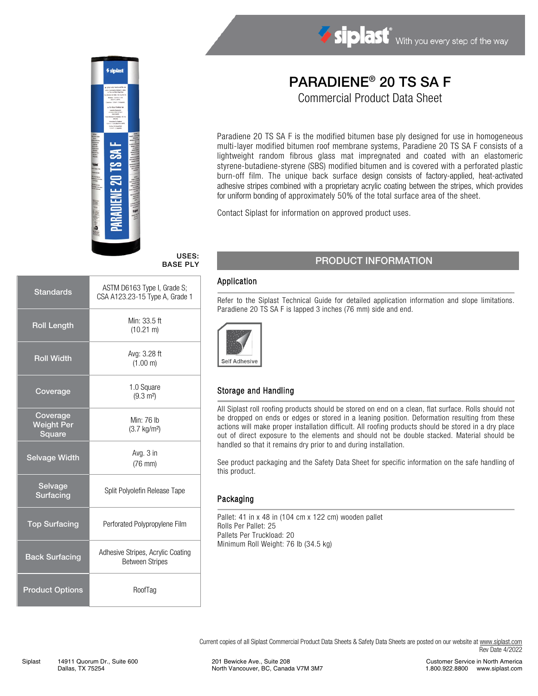

#### USES: BASE PLY

| <b>Standards</b>                        | ASTM D6163 Type I, Grade S;<br>CSA A123.23-15 Type A, Grade 1 |  |
|-----------------------------------------|---------------------------------------------------------------|--|
| <b>Roll Length</b>                      | Min: 33.5 ft<br>$(10.21 \text{ m})$                           |  |
| <b>Roll Width</b>                       | Avg: 3.28 ft<br>(1.00 m)                                      |  |
| Coverage                                | 1.0 Square<br>$(9.3 \text{ m}^2)$                             |  |
| Coverage<br><b>Weight Per</b><br>Square | Min: 76 lb<br>$(3.7 \text{ kg/m}^2)$                          |  |
| <b>Selvage Width</b>                    | Avg. 3 in<br>$(76$ mm $)$                                     |  |
| Selvage<br><b>Surfacing</b>             | Split Polyolefin Release Tape                                 |  |
| <b>Top Surfacing</b>                    | Perforated Polypropylene Film                                 |  |
| <b>Back Surfacing</b>                   | Adhesive Stripes, Acrylic Coating<br><b>Between Stripes</b>   |  |
| <b>Product Options</b>                  | RoofTag                                                       |  |

# PARADIENE® 20 TS SA F

Siplast With you every step of the way

Commercial Product Data Sheet

Paradiene 20 TS SA F is the modified bitumen base ply designed for use in homogeneous multi-layer modified bitumen roof membrane systems, Paradiene 20 TS SA F consists of a lightweight random fibrous glass mat impregnated and coated with an elastomeric styrene-butadiene-styrene (SBS) modified bitumen and is covered with a perforated plastic burn-off film. The unique back surface design consists of factory-applied, heat-activated adhesive stripes combined with a proprietary acrylic coating between the stripes, which provides for uniform bonding of approximately 50% of the total surface area of the sheet.

Contact Siplast for information on approved product uses.

### PRODUCT INFORMATION

#### Application

Refer to the Siplast Technical Guide for detailed application information and slope limitations. Paradiene 20 TS SA F is lapped 3 inches (76 mm) side and end.



#### Storage and Handling

All Siplast roll roofing products should be stored on end on a clean, flat surface. Rolls should not be dropped on ends or edges or stored in a leaning position. Deformation resulting from these actions will make proper installation difficult. All roofing products should be stored in a dry place out of direct exposure to the elements and should not be double stacked. Material should be handled so that it remains dry prior to and during installation.

See product packaging and the Safety Data Sheet for specific information on the safe handling of this product.

#### Packaging

Pallet: 41 in x 48 in (104 cm x 122 cm) wooden pallet Rolls Per Pallet: 25 Pallets Per Truckload: 20 Minimum Roll Weight: 76 lb (34.5 kg)

Current copies of all Siplast Commercial Product Data Sheets & Safety Data Sheets are posted on our website a[t www.siplast.com](http://www.siplast.com/) Rev Date 4/2022